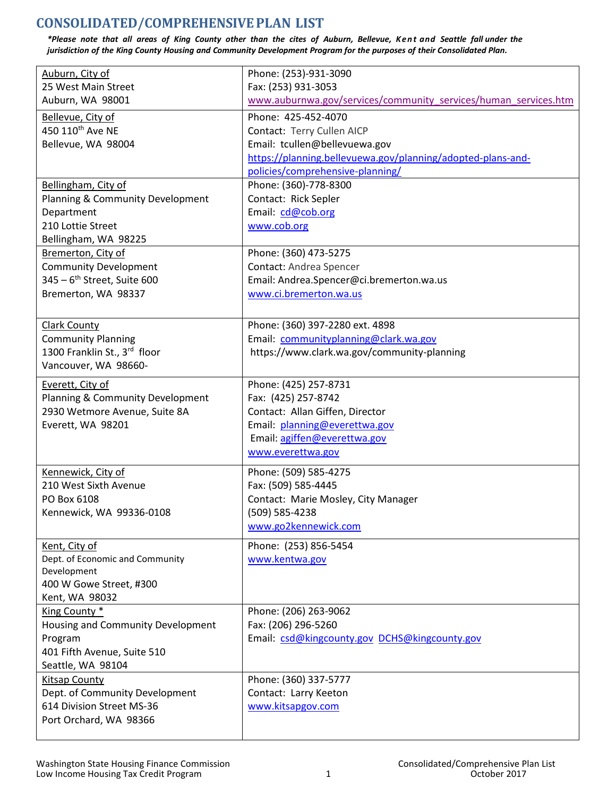## **CONSOLIDATED/COMPREHENSIVEPLAN LIST**

*\*Please note that all areas of King County other than the cites of Auburn, Bellevue, Kent and Seattle fall under the jurisdiction of the King County Housing and Community Development Program for the purposes of their Consolidated Plan.*

| Auburn, City of                         | Phone: (253)-931-3090                                           |
|-----------------------------------------|-----------------------------------------------------------------|
| 25 West Main Street                     | Fax: (253) 931-3053                                             |
| Auburn, WA 98001                        | www.auburnwa.gov/services/community services/human services.htm |
| Bellevue, City of                       | Phone: 425-452-4070                                             |
| 450 110 <sup>th</sup> Ave NE            | Contact: Terry Cullen AICP                                      |
| Bellevue, WA 98004                      | Email: tcullen@bellevuewa.gov                                   |
|                                         | https://planning.bellevuewa.gov/planning/adopted-plans-and-     |
|                                         | policies/comprehensive-planning/                                |
| Bellingham, City of                     | Phone: (360)-778-8300                                           |
| Planning & Community Development        | Contact: Rick Sepler                                            |
| Department                              | Email: cd@cob.org                                               |
| 210 Lottie Street                       | www.cob.org                                                     |
| Bellingham, WA 98225                    |                                                                 |
| Bremerton, City of                      | Phone: (360) 473-5275                                           |
| <b>Community Development</b>            | Contact: Andrea Spencer                                         |
| 345 - 6 <sup>th</sup> Street, Suite 600 | Email: Andrea.Spencer@ci.bremerton.wa.us                        |
| Bremerton, WA 98337                     | www.ci.bremerton.wa.us                                          |
|                                         |                                                                 |
| <b>Clark County</b>                     | Phone: (360) 397-2280 ext. 4898                                 |
| <b>Community Planning</b>               | Email: communityplanning@clark.wa.gov                           |
| 1300 Franklin St., 3rd floor            | https://www.clark.wa.gov/community-planning                     |
|                                         |                                                                 |
| Vancouver, WA 98660-                    |                                                                 |
| Everett, City of                        | Phone: (425) 257-8731                                           |
| Planning & Community Development        | Fax: (425) 257-8742                                             |
| 2930 Wetmore Avenue, Suite 8A           | Contact: Allan Giffen, Director                                 |
| Everett, WA 98201                       | Email: planning@everettwa.gov                                   |
|                                         | Email: agiffen@everettwa.gov                                    |
|                                         | www.everettwa.gov                                               |
| Kennewick, City of                      | Phone: (509) 585-4275                                           |
| 210 West Sixth Avenue                   | Fax: (509) 585-4445                                             |
| PO Box 6108                             | Contact: Marie Mosley, City Manager                             |
| Kennewick, WA 99336-0108                | (509) 585-4238                                                  |
|                                         | www.go2kennewick.com                                            |
|                                         |                                                                 |
| Kent, City of                           | Phone: (253) 856-5454                                           |
| Dept. of Economic and Community         | www.kentwa.gov                                                  |
| Development                             |                                                                 |
| 400 W Gowe Street, #300                 |                                                                 |
| Kent, WA 98032                          |                                                                 |
| King County *                           | Phone: (206) 263-9062                                           |
| Housing and Community Development       | Fax: (206) 296-5260                                             |
| Program                                 | Email: csd@kingcounty.gov DCHS@kingcounty.gov                   |
| 401 Fifth Avenue, Suite 510             |                                                                 |
| Seattle, WA 98104                       |                                                                 |
| <b>Kitsap County</b>                    | Phone: (360) 337-5777                                           |
| Dept. of Community Development          | Contact: Larry Keeton                                           |
| 614 Division Street MS-36               | www.kitsapgov.com                                               |
| Port Orchard, WA 98366                  |                                                                 |
|                                         |                                                                 |